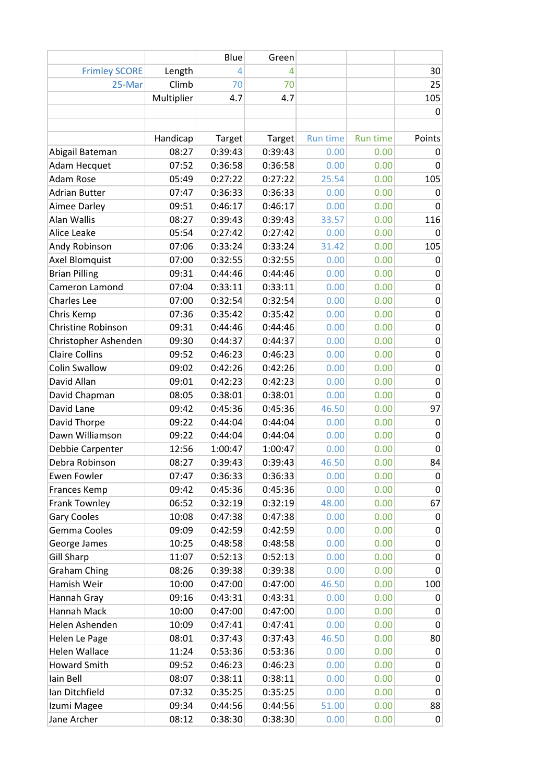|                       |            | Blue    | Green         |                 |          |                  |
|-----------------------|------------|---------|---------------|-----------------|----------|------------------|
| <b>Frimley SCORE</b>  | Length     | 4       | 4             |                 |          | 30               |
| 25-Mar                | Climb      | 70      | 70            |                 |          | 25               |
|                       | Multiplier | 4.7     | 4.7           |                 |          | 105              |
|                       |            |         |               |                 |          | 0                |
|                       |            |         |               |                 |          |                  |
|                       | Handicap   | Target  | <b>Target</b> | <b>Run time</b> | Run time | Points           |
| Abigail Bateman       | 08:27      | 0:39:43 | 0:39:43       | 0.00            | 0.00     | 0                |
| Adam Hecquet          | 07:52      | 0:36:58 | 0:36:58       | 0.00            | 0.00     | 0                |
| <b>Adam Rose</b>      | 05:49      | 0:27:22 | 0:27:22       | 25.54           | 0.00     | 105              |
| <b>Adrian Butter</b>  | 07:47      | 0:36:33 | 0:36:33       | 0.00            | 0.00     | 0                |
| Aimee Darley          | 09:51      | 0:46:17 | 0:46:17       | 0.00            | 0.00     | $\mathbf 0$      |
| Alan Wallis           | 08:27      | 0:39:43 | 0:39:43       | 33.57           | 0.00     | 116              |
| Alice Leake           | 05:54      | 0:27:42 | 0:27:42       | 0.00            | 0.00     | 0                |
| Andy Robinson         | 07:06      | 0:33:24 | 0:33:24       | 31.42           | 0.00     | 105              |
| Axel Blomquist        | 07:00      | 0:32:55 | 0:32:55       | 0.00            | 0.00     | 0                |
| <b>Brian Pilling</b>  | 09:31      | 0:44:46 | 0:44:46       | 0.00            | 0.00     | 0                |
| Cameron Lamond        | 07:04      | 0:33:11 | 0:33:11       | 0.00            | 0.00     | 0                |
| <b>Charles Lee</b>    | 07:00      | 0:32:54 | 0:32:54       | 0.00            | 0.00     | $\mathbf 0$      |
| Chris Kemp            | 07:36      | 0:35:42 | 0:35:42       | 0.00            | 0.00     | $\mathbf 0$      |
| Christine Robinson    | 09:31      | 0:44:46 | 0:44:46       | 0.00            | 0.00     | $\boldsymbol{0}$ |
| Christopher Ashenden  | 09:30      | 0:44:37 | 0:44:37       | 0.00            | 0.00     | $\mathbf 0$      |
| <b>Claire Collins</b> | 09:52      | 0:46:23 | 0:46:23       | 0.00            | 0.00     | $\mathbf 0$      |
| <b>Colin Swallow</b>  | 09:02      | 0:42:26 | 0:42:26       | 0.00            | 0.00     | $\boldsymbol{0}$ |
| David Allan           | 09:01      | 0:42:23 | 0:42:23       | 0.00            | 0.00     | 0                |
| David Chapman         | 08:05      | 0:38:01 | 0:38:01       | 0.00            | 0.00     | $\mathbf 0$      |
| David Lane            | 09:42      | 0:45:36 | 0:45:36       | 46.50           | 0.00     | 97               |
| David Thorpe          | 09:22      | 0:44:04 | 0:44:04       | 0.00            | 0.00     | $\mathbf 0$      |
| Dawn Williamson       | 09:22      | 0:44:04 | 0:44:04       | 0.00            | 0.00     | 0                |
| Debbie Carpenter      | 12:56      | 1:00:47 | 1:00:47       | 0.00            | 0.00     | 0                |
| Debra Robinson        | 08:27      | 0:39:43 | 0:39:43       | 46.50           | 0.00     | 84               |
| Ewen Fowler           | 07:47      | 0:36:33 | 0:36:33       | 0.00            | 0.00     | 0                |
| Frances Kemp          | 09:42      | 0:45:36 | 0:45:36       | 0.00            | 0.00     | $\mathbf 0$      |
| Frank Townley         | 06:52      | 0:32:19 | 0:32:19       | 48.00           | 0.00     | 67               |
| <b>Gary Cooles</b>    | 10:08      | 0:47:38 | 0:47:38       | 0.00            | 0.00     | $\mathbf 0$      |
| Gemma Cooles          | 09:09      | 0:42:59 | 0:42:59       | 0.00            | 0.00     | 0                |
| George James          | 10:25      | 0:48:58 | 0:48:58       | 0.00            | 0.00     | 0                |
| <b>Gill Sharp</b>     | 11:07      | 0:52:13 | 0:52:13       | 0.00            | 0.00     | $\pmb{0}$        |
| <b>Graham Ching</b>   | 08:26      | 0:39:38 | 0:39:38       | 0.00            | 0.00     | $\mathbf 0$      |
| Hamish Weir           | 10:00      | 0:47:00 | 0:47:00       | 46.50           | 0.00     | 100              |
| Hannah Gray           | 09:16      | 0:43:31 | 0:43:31       | 0.00            | 0.00     | 0                |
| Hannah Mack           | 10:00      | 0:47:00 | 0:47:00       | 0.00            | 0.00     | $\mathbf 0$      |
| Helen Ashenden        | 10:09      | 0:47:41 | 0:47:41       | 0.00            | 0.00     | $\boldsymbol{0}$ |
| Helen Le Page         | 08:01      | 0:37:43 | 0:37:43       | 46.50           | 0.00     | 80               |
| <b>Helen Wallace</b>  | 11:24      | 0:53:36 | 0:53:36       | 0.00            | 0.00     | $\mathbf 0$      |
| <b>Howard Smith</b>   | 09:52      | 0:46:23 | 0:46:23       | 0.00            | 0.00     | 0                |
| Iain Bell             | 08:07      | 0:38:11 | 0:38:11       | 0.00            | 0.00     | $\pmb{0}$        |
| Ian Ditchfield        | 07:32      | 0:35:25 | 0:35:25       | 0.00            | 0.00     | $\boldsymbol{0}$ |
| Izumi Magee           | 09:34      | 0:44:56 | 0:44:56       | 51.00           | 0.00     | 88               |
| Jane Archer           | 08:12      | 0:38:30 | 0:38:30       | 0.00            | 0.00     | $\mathbf 0$      |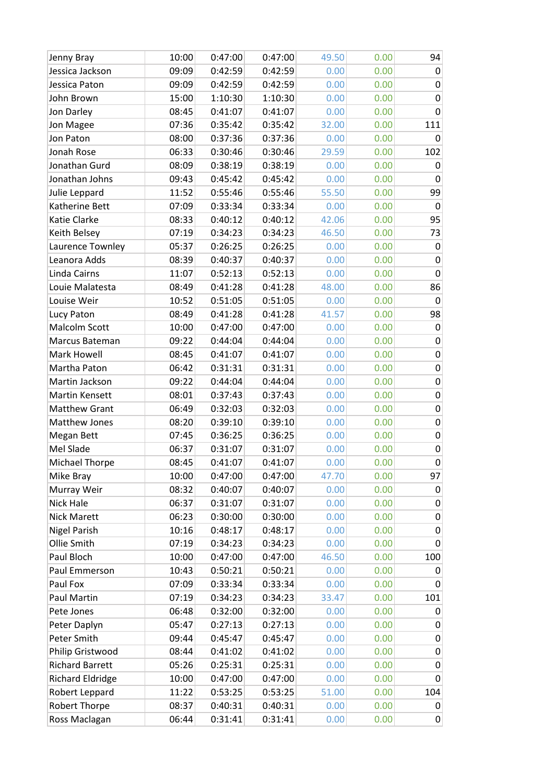| Jenny Bray              | 10:00 | 0:47:00 | 0:47:00 | 49.50 | 0.00 | 94               |
|-------------------------|-------|---------|---------|-------|------|------------------|
| Jessica Jackson         | 09:09 | 0:42:59 | 0:42:59 | 0.00  | 0.00 | 0                |
| Jessica Paton           | 09:09 | 0:42:59 | 0:42:59 | 0.00  | 0.00 | 0                |
| John Brown              | 15:00 | 1:10:30 | 1:10:30 | 0.00  | 0.00 | $\mathbf 0$      |
| Jon Darley              | 08:45 | 0:41:07 | 0:41:07 | 0.00  | 0.00 | 0                |
| Jon Magee               | 07:36 | 0:35:42 | 0:35:42 | 32.00 | 0.00 | 111              |
| Jon Paton               | 08:00 | 0:37:36 | 0:37:36 | 0.00  | 0.00 | 0                |
| Jonah Rose              | 06:33 | 0:30:46 | 0:30:46 | 29.59 | 0.00 | 102              |
| Jonathan Gurd           | 08:09 | 0:38:19 | 0:38:19 | 0.00  | 0.00 | 0                |
| Jonathan Johns          | 09:43 | 0:45:42 | 0:45:42 | 0.00  | 0.00 | 0                |
| Julie Leppard           | 11:52 | 0:55:46 | 0:55:46 | 55.50 | 0.00 | 99               |
| Katherine Bett          | 07:09 | 0:33:34 | 0:33:34 | 0.00  | 0.00 | 0                |
| Katie Clarke            | 08:33 | 0:40:12 | 0:40:12 | 42.06 | 0.00 | 95               |
| Keith Belsey            | 07:19 | 0:34:23 | 0:34:23 | 46.50 | 0.00 | 73               |
| Laurence Townley        | 05:37 | 0:26:25 | 0:26:25 | 0.00  | 0.00 | 0                |
| Leanora Adds            | 08:39 | 0:40:37 | 0:40:37 | 0.00  | 0.00 | $\pmb{0}$        |
| Linda Cairns            | 11:07 | 0:52:13 | 0:52:13 | 0.00  | 0.00 | $\mathbf 0$      |
| Louie Malatesta         | 08:49 | 0:41:28 | 0:41:28 | 48.00 | 0.00 | 86               |
| Louise Weir             | 10:52 | 0:51:05 | 0:51:05 | 0.00  | 0.00 | 0                |
| Lucy Paton              | 08:49 | 0:41:28 | 0:41:28 | 41.57 | 0.00 | 98               |
| Malcolm Scott           | 10:00 | 0:47:00 | 0:47:00 | 0.00  | 0.00 | 0                |
| Marcus Bateman          | 09:22 | 0:44:04 | 0:44:04 | 0.00  | 0.00 | 0                |
| Mark Howell             | 08:45 | 0:41:07 | 0:41:07 | 0.00  | 0.00 | $\pmb{0}$        |
| Martha Paton            | 06:42 | 0:31:31 | 0:31:31 | 0.00  | 0.00 | $\mathbf 0$      |
| Martin Jackson          | 09:22 | 0:44:04 | 0:44:04 | 0.00  | 0.00 | 0                |
| Martin Kensett          | 08:01 | 0:37:43 | 0:37:43 | 0.00  | 0.00 | 0                |
| <b>Matthew Grant</b>    | 06:49 | 0:32:03 | 0:32:03 | 0.00  | 0.00 | $\boldsymbol{0}$ |
| Matthew Jones           | 08:20 | 0:39:10 | 0:39:10 | 0.00  | 0.00 | $\boldsymbol{0}$ |
| Megan Bett              | 07:45 | 0:36:25 | 0:36:25 | 0.00  | 0.00 | 0                |
| Mel Slade               | 06:37 | 0:31:07 | 0:31:07 | 0.00  | 0.00 | $\mathbf 0$      |
| Michael Thorpe          | 08:45 | 0:41:07 | 0:41:07 | 0.00  | 0.00 | $\mathbf 0$      |
| Mike Bray               | 10:00 | 0:47:00 | 0:47:00 | 47.70 | 0.00 | 97               |
| Murray Weir             | 08:32 | 0:40:07 | 0:40:07 | 0.00  | 0.00 | 0                |
| Nick Hale               | 06:37 | 0:31:07 | 0:31:07 | 0.00  | 0.00 | 0                |
| <b>Nick Marett</b>      | 06:23 | 0:30:00 | 0:30:00 | 0.00  | 0.00 | 0                |
| <b>Nigel Parish</b>     | 10:16 | 0:48:17 | 0:48:17 | 0.00  | 0.00 | 0                |
| Ollie Smith             | 07:19 | 0:34:23 | 0:34:23 | 0.00  | 0.00 | 0                |
| Paul Bloch              | 10:00 | 0:47:00 | 0:47:00 | 46.50 | 0.00 | 100              |
| Paul Emmerson           | 10:43 | 0:50:21 | 0:50:21 | 0.00  | 0.00 | 0                |
| Paul Fox                | 07:09 | 0:33:34 | 0:33:34 | 0.00  | 0.00 | 0                |
| Paul Martin             | 07:19 | 0:34:23 | 0:34:23 | 33.47 | 0.00 | 101              |
| Pete Jones              | 06:48 | 0:32:00 | 0:32:00 | 0.00  | 0.00 | 0                |
| Peter Daplyn            | 05:47 | 0:27:13 | 0:27:13 | 0.00  | 0.00 | 0                |
| Peter Smith             | 09:44 | 0:45:47 | 0:45:47 | 0.00  | 0.00 | 0                |
| Philip Gristwood        | 08:44 | 0:41:02 | 0:41:02 | 0.00  | 0.00 | 0                |
| <b>Richard Barrett</b>  | 05:26 | 0:25:31 | 0:25:31 | 0.00  | 0.00 | 0                |
| <b>Richard Eldridge</b> | 10:00 | 0:47:00 | 0:47:00 | 0.00  | 0.00 | 0                |
| Robert Leppard          | 11:22 | 0:53:25 | 0:53:25 | 51.00 | 0.00 | 104              |
| Robert Thorpe           | 08:37 | 0:40:31 | 0:40:31 | 0.00  | 0.00 | 0                |
| Ross Maclagan           | 06:44 | 0:31:41 | 0:31:41 | 0.00  | 0.00 | 0                |